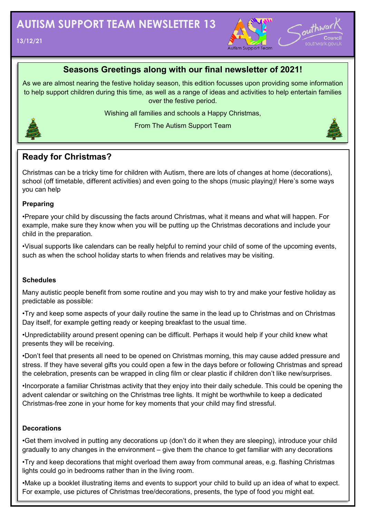



### **Seasons Greetings along with our final newsletter of 2021!**

As we are almost nearing the festive holiday season, this edition focusses upon providing some information to help support children during this time, as well as a range of ideas and activities to help entertain families over the festive period.

Wishing all families and schools a Happy Christmas,



From The Autism Support Team

### **Ready for Christmas?**

Christmas can be a tricky time for children with Autism, there are lots of changes at home (decorations), school (off timetable, different activities) and even going to the shops (music playing)! Here's some ways you can help

#### **Preparing**

•Prepare your child by discussing the facts around Christmas, what it means and what will happen. For example, make sure they know when you will be putting up the Christmas decorations and include your child in the preparation.

•Visual supports like calendars can be really helpful to remind your child of some of the upcoming events, such as when the school holiday starts to when friends and relatives may be visiting.

#### **Schedules**

Many autistic people benefit from some routine and you may wish to try and make your festive holiday as predictable as possible:

•Try and keep some aspects of your daily routine the same in the lead up to Christmas and on Christmas Day itself, for example getting ready or keeping breakfast to the usual time.

•Unpredictability around present opening can be difficult. Perhaps it would help if your child knew what presents they will be receiving.

•Don't feel that presents all need to be opened on Christmas morning, this may cause added pressure and stress. If they have several gifts you could open a few in the days before or following Christmas and spread the celebration, presents can be wrapped in cling film or clear plastic if children don't like new/surprises.

•Incorporate a familiar Christmas activity that they enjoy into their daily schedule. This could be opening the advent calendar or switching on the Christmas tree lights. It might be worthwhile to keep a dedicated Christmas-free zone in your home for key moments that your child may find stressful.

#### **Decorations**

•Get them involved in putting any decorations up (don't do it when they are sleeping), introduce your child gradually to any changes in the environment – give them the chance to get familiar with any decorations

•Try and keep decorations that might overload them away from communal areas, e.g. flashing Christmas lights could go in bedrooms rather than in the living room.

•Make up a booklet illustrating items and events to support your child to build up an idea of what to expect. For example, use pictures of Christmas tree/decorations, presents, the type of food you might eat.